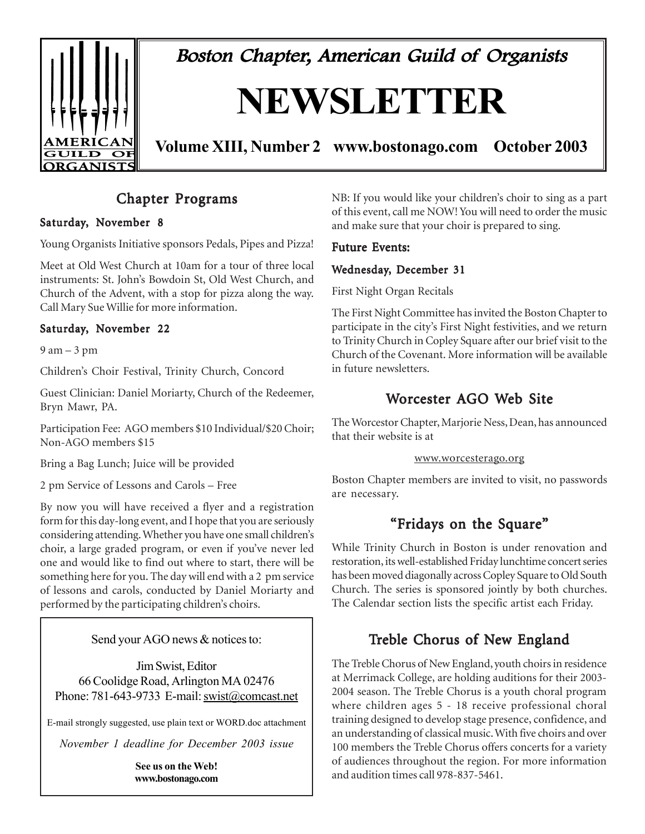

Boston Chapter, American Guild of Organists

# **NEWSLETTER**

**Volume XIII, Number 2 www.bostonago.com October 2003**

# Chapter Programs

#### Saturday, November 8

Young Organists Initiative sponsors Pedals, Pipes and Pizza!

Meet at Old West Church at 10am for a tour of three local instruments: St. John's Bowdoin St, Old West Church, and Church of the Advent, with a stop for pizza along the way. Call Mary Sue Willie for more information.

#### Saturday, November 22

 $9$  am  $-3$  pm

Children's Choir Festival, Trinity Church, Concord

Guest Clinician: Daniel Moriarty, Church of the Redeemer, Bryn Mawr, PA.

Participation Fee: AGO members \$10 Individual/\$20 Choir; Non-AGO members \$15

Bring a Bag Lunch; Juice will be provided

2 pm Service of Lessons and Carols – Free

By now you will have received a flyer and a registration form for this day-long event, and I hope that you are seriously considering attending. Whether you have one small children's choir, a large graded program, or even if you've never led one and would like to find out where to start, there will be something here for you. The day will end with a 2 pm service of lessons and carols, conducted by Daniel Moriarty and performed by the participating children's choirs.

#### Send your AGO news & notices to:

Jim Swist, Editor 66 Coolidge Road, Arlington MA 02476 Phone: 781-643-9733 E-mail: swist@comcast.net

E-mail strongly suggested, use plain text or WORD.doc attachment

*November 1 deadline for December 2003 issue*

**See us on the Web! www.bostonago.com** NB: If you would like your children's choir to sing as a part of this event, call me NOW! You will need to order the music and make sure that your choir is prepared to sing.

#### Future Events:

#### Wednesday, December 31

First Night Organ Recitals

The First Night Committee has invited the Boston Chapter to participate in the city's First Night festivities, and we return to Trinity Church in Copley Square after our brief visit to the Church of the Covenant. More information will be available in future newsletters.

# Worcester AGO Web Site

The Worcestor Chapter, Marjorie Ness, Dean, has announced that their website is at

#### www.worcesterago.org

Boston Chapter members are invited to visit, no passwords are necessary.

# "Fridays on the Square"

While Trinity Church in Boston is under renovation and restoration, its well-established Friday lunchtime concert series has been moved diagonally across Copley Square to Old South Church. The series is sponsored jointly by both churches. The Calendar section lists the specific artist each Friday.

# Treble Chorus of New England

The Treble Chorus of New England, youth choirs in residence at Merrimack College, are holding auditions for their 2003- 2004 season. The Treble Chorus is a youth choral program where children ages 5 - 18 receive professional choral training designed to develop stage presence, confidence, and an understanding of classical music. With five choirs and over 100 members the Treble Chorus offers concerts for a variety of audiences throughout the region. For more information and audition times call 978-837-5461.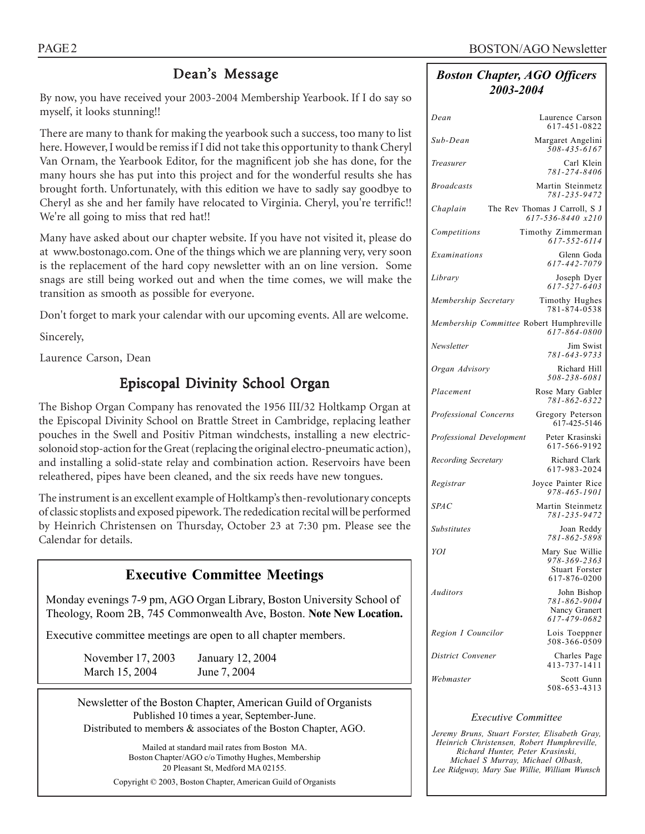# Dean's Message

By now, you have received your 2003-2004 Membership Yearbook. If I do say so myself, it looks stunning!!

There are many to thank for making the yearbook such a success, too many to list here. However, I would be remiss if I did not take this opportunity to thank Cheryl Van Ornam, the Yearbook Editor, for the magnificent job she has done, for the many hours she has put into this project and for the wonderful results she has brought forth. Unfortunately, with this edition we have to sadly say goodbye to Cheryl as she and her family have relocated to Virginia. Cheryl, you're terrific!! We're all going to miss that red hat!!

Many have asked about our chapter website. If you have not visited it, please do at www.bostonago.com. One of the things which we are planning very, very soon is the replacement of the hard copy newsletter with an on line version. Some snags are still being worked out and when the time comes, we will make the transition as smooth as possible for everyone.

Don't forget to mark your calendar with our upcoming events. All are welcome.

Sincerely,

Laurence Carson, Dean

# Episcopal Divinity School Organ

The Bishop Organ Company has renovated the 1956 III/32 Holtkamp Organ at the Episcopal Divinity School on Brattle Street in Cambridge, replacing leather pouches in the Swell and Positiv Pitman windchests, installing a new electricsolonoid stop-action for the Great (replacing the original electro-pneumatic action), and installing a solid-state relay and combination action. Reservoirs have been releathered, pipes have been cleaned, and the six reeds have new tongues.

The instrument is an excellent example of Holtkamp's then-revolutionary concepts of classic stoplists and exposed pipework. The rededication recital will be performed by Heinrich Christensen on Thursday, October 23 at 7:30 pm. Please see the Calendar for details.

# **Executive Committee Meetings**

Monday evenings 7-9 pm, AGO Organ Library, Boston University School of Theology, Room 2B, 745 Commonwealth Ave, Boston. **Note New Location.**

Executive committee meetings are open to all chapter members.

November 17, 2003 January 12, 2004 March 15, 2004 June 7, 2004

Newsletter of the Boston Chapter, American Guild of Organists Published 10 times a year, September-June. Distributed to members & associates of the Boston Chapter, AGO.

> Mailed at standard mail rates from Boston MA. Boston Chapter/AGO c/o Timothy Hughes, Membership 20 Pleasant St, Medford MA 02155. Copyright © 2003, Boston Chapter, American Guild of Organists

#### *Boston Chapter, AGO Officers 2003-2004*

| Dean                     | Laurence Carson<br>617-451-0822                              |
|--------------------------|--------------------------------------------------------------|
| Sub-Dean                 | Margaret Angelini<br>$508 - 435 - 6167$                      |
| Treasurer                | Carl Klein<br>781-274-8406                                   |
| <b>Broadcasts</b>        | Martin Steinmetz<br>781-235-9472                             |
| Chaplain                 | The Rev Thomas J Carroll, S J<br>617-536-8440 x210           |
| Competitions             | Timothy Zimmerman<br>617-552-6114                            |
| Examinations             | Glenn Goda<br>617-442-7079                                   |
| Library                  | Joseph Dyer<br>617-527-6403                                  |
| Membership Secretary     | Timothy Hughes<br>781-874-0538                               |
|                          | Membership Committee Robert Humphreville<br>617-864-0800     |
| Newsletter               | Jim Swist<br>781-643-9733                                    |
| Organ Advisory           | Richard Hill<br>508-238-6081                                 |
| Placement                | Rose Mary Gabler<br>781-862-6322                             |
| Professional Concerns    | Gregory Peterson<br>617-425-5146                             |
| Professional Development | Peter Krasinski<br>617-566-9192                              |
| Recording Secretary      | Richard Clark<br>617-983-2024                                |
| Registrar                | Joyce Painter Rice<br>978-465-1901                           |
| <b>SPAC</b>              | Martin Steinmetz<br>781-235-9472                             |
| <b>Substitutes</b>       | Joan Reddy<br>781-862-5898                                   |
| YOI                      | Mary Sue Willie<br>978-369-2363                              |
|                          | <b>Stuart Forster</b><br>617-876-0200                        |
| <b>Auditors</b>          | John Bishop<br>781-862-9004<br>Nancy Granert<br>617-479-0682 |
| Region I Councilor       | Lois Toeppner<br>508-366-0509                                |
| District Convener        | Charles Page<br>413-737-1411                                 |
| Webmaster                | Scott Gunn<br>508-653-4313                                   |

#### *Executive Committee*

*Jeremy Bruns, Stuart Forster, Elisabeth Gray, Heinrich Christensen, Robert Humphreville, Richard Hunter, Peter Krasinski, Michael S Murray, Michael Olbash, Lee Ridgway, Mary Sue Willie, William Wunsch*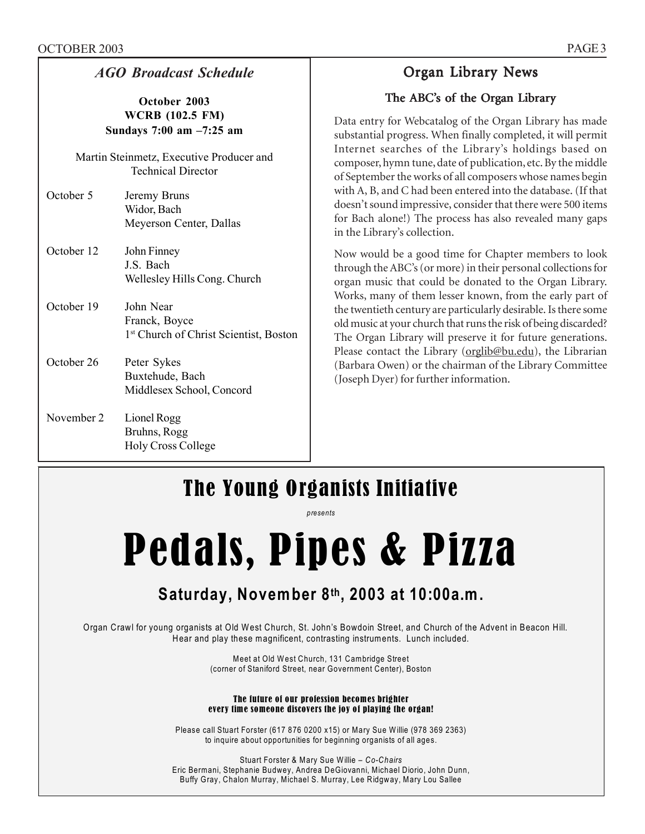| <b>AGO Broadcast Schedule</b>                                      |                                                                                  |  |  |  |
|--------------------------------------------------------------------|----------------------------------------------------------------------------------|--|--|--|
| October 2003<br><b>WCRB</b> (102.5 FM)<br>Sundays 7:00 am -7:25 am |                                                                                  |  |  |  |
|                                                                    | Martin Steinmetz, Executive Producer and<br><b>Technical Director</b>            |  |  |  |
| October 5                                                          | Jeremy Bruns<br>Widor, Bach<br>Meyerson Center, Dallas                           |  |  |  |
| October 12                                                         | John Finney<br>J S Bach<br>Wellesley Hills Cong. Church                          |  |  |  |
| October 19                                                         | John Near<br>Franck, Boyce<br>1 <sup>st</sup> Church of Christ Scientist, Boston |  |  |  |
| October 26                                                         | Peter Sykes<br>Buxtehude, Bach<br>Middlesex School, Concord                      |  |  |  |

November 2 Lionel Rogg Bruhns, Rogg Holy Cross College

# Organ Library News

### The ABC's of the Organ Library

Data entry for Webcatalog of the Organ Library has made substantial progress. When finally completed, it will permit Internet searches of the Library's holdings based on composer, hymn tune, date of publication, etc. By the middle of September the works of all composers whose names begin with A, B, and C had been entered into the database. (If that doesn't sound impressive, consider that there were 500 items for Bach alone!) The process has also revealed many gaps in the Library's collection.

Now would be a good time for Chapter members to look through the ABC's (or more) in their personal collections for organ music that could be donated to the Organ Library. Works, many of them lesser known, from the early part of the twentieth century are particularly desirable. Is there some old music at your church that runs the risk of being discarded? The Organ Library will preserve it for future generations. Please contact the Library (orglib@bu.edu), the Librarian (Barbara Owen) or the chairman of the Library Committee (Joseph Dyer) for further information.

# The Young Organists Initiative

*presents* 

# Pedals, Pipes & Pizza

# **Saturday, November 8th, 2003 at 10:00a.m.**

 Organ Crawl for young organists at Old West Church, St. John's Bowdoin Street, and Church of the Advent in Beacon Hill. Hear and play these magnificent, contrasting instruments. Lunch included.

> Meet at Old West Church, 131 Cambridge Street (corner of Staniford Street, near Government Center), Boston

#### The future of our profession becomes brighter every time someone discovers the joy of playing the organ!

Please call Stuart Forster (617 876 0200 x15) or Mary Sue Willie (978 369 2363) to inquire about opportunities for beginning organists of all ages.

Stuart Forster & Mary Sue Willie – *Co-Chairs* Eric Bermani, Stephanie Budwey, Andrea DeGiovanni, Michael Diorio, John Dunn, Buffy Gray, Chalon Murray, Michael S. Murray, Lee Ridgway, Mary Lou Sallee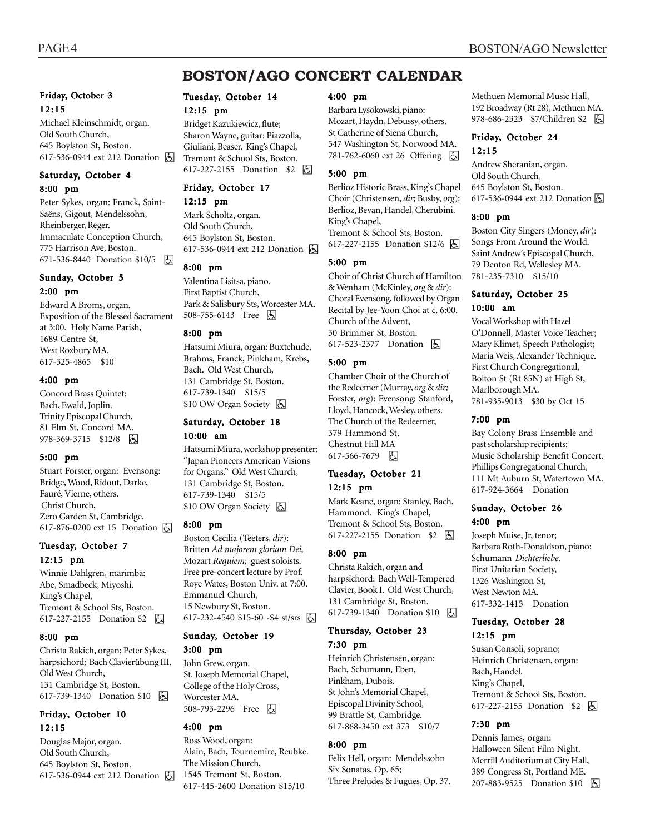# **BOSTON/AGO CONCERT CALENDAR**

#### Friday, October 3 12:15

Michael Kleinschmidt, organ. Old South Church, 645 Boylston St, Boston. 617-536-0944 ext 212 Donation  $\boxed{6}$ 

#### Saturday, October 4 8:00 pm

Peter Sykes, organ: Franck, Saint-Saëns, Gigout, Mendelssohn, Rheinberger, Reger. Immaculate Conception Church, 775 Harrison Ave, Boston. 671-536-8440 Donation \$10/5 h

#### Sunday, October 5 2:00 pm

Edward A Broms, organ. Exposition of the Blessed Sacrament at 3:00. Holy Name Parish, 1689 Centre St, West Roxbury MA. 617-325-4865 \$10

#### 4:00 pm

Concord Brass Quintet: Bach, Ewald, Joplin. Trinity Episcopal Church, 81 Elm St, Concord MA. 978-369-3715 \$12/8 因

#### 5:00 pm

Stuart Forster, organ: Evensong: Bridge, Wood, Ridout, Darke, Fauré, Vierne, others. Christ Church, Zero Garden St, Cambridge. 617-876-0200 ext 15 Donation **b** 

#### Tuesday, October 7 12:15 pm

Winnie Dahlgren, marimba: Abe, Smadbeck, Miyoshi. King's Chapel, Tremont & School Sts, Boston. 617-227-2155 Donation \$2 **b** 

#### 8:00 pm

Christa Rakich, organ; Peter Sykes, harpsichord: Bach Clavierübung III. Old West Church, 131 Cambridge St, Boston. 617-739-1340 Donation \$10 **b** 

#### Friday, October 10 12:15

Douglas Major, organ. Old South Church, 645 Boylston St, Boston. 617-536-0944 ext 212 Donation **b** 

#### Tuesday, October 14

#### 12:15 pm

Bridget Kazukiewicz, flute; Sharon Wayne, guitar: Piazzolla, Giuliani, Beaser. King's Chapel, Tremont & School Sts, Boston. 617-227-2155 Donation \$2 因

#### Friday, October 17

#### 12:15 pm

Mark Scholtz, organ. Old South Church, 645 Boylston St, Boston. 617-536-0944 ext 212 Donation h

#### 8:00 pm

Valentina Lisitsa, piano. First Baptist Church, Park & Salisbury Sts, Worcester MA. 508-755-6143 Free 因

#### 8:00 pm

Hatsumi Miura, organ: Buxtehude, Brahms, Franck, Pinkham, Krebs, Bach. Old West Church, 131 Cambridge St, Boston. 617-739-1340 \$15/5 \$10 OW Organ Society **因** 

#### Saturday, October 18 10:00 am

Hatsumi Miura, workshop presenter: "Japan Pioneers American Visions for Organs." Old West Church, 131 Cambridge St, Boston. 617-739-1340 \$15/5 \$10 OW Organ Society  $\Box$ 

#### 8:00 pm

Boston Cecilia (Teeters, *dir*): Britten *Ad majorem gloriam Dei,* Mozart *Requiem;* guest soloists. Free pre-concert lecture by Prof. Roye Wates, Boston Univ. at 7:00. Emmanuel Church, 15 Newbury St, Boston. 617-232-4540 \$15-60 -\$4 st/srs  $\boxed{6}$ 

#### Sunday, October 19

#### 3:00 pm

John Grew, organ. St. Joseph Memorial Chapel, College of the Holy Cross, Worcester MA. 508-793-2296 Free 因

#### 4:00 pm

Ross Wood, organ: Alain, Bach, Tournemire, Reubke. The Mission Church, 1545 Tremont St, Boston. 617-445-2600 Donation \$15/10

#### 4:00 pm

Barbara Lysokowski, piano: Mozart, Haydn, Debussy, others. St Catherine of Siena Church, 547 Washington St, Norwood MA. 781-762-6060 ext 26 Offering **固** 

#### 5:00 pm

Berlioz Historic Brass, King's Chapel Choir (Christensen, *dir*; Busby, *org*): Berlioz, Bevan, Handel, Cherubini. King's Chapel, Tremont & School Sts, Boston. 617-227-2155 Donation \$12/6 **b** 

#### 5:00 pm

Choir of Christ Church of Hamilton & Wenham (McKinley, *org* & *dir*): Choral Evensong, followed by Organ Recital by Jee-Yoon Choi at c. 6:00. Church of the Advent, 30 Brimmer St, Boston. 617-523-2377 Donation **b** 

#### 5:00 pm

Chamber Choir of the Church of the Redeemer (Murray, *org* & *dir;* Forster, *org*): Evensong: Stanford, Lloyd, Hancock, Wesley, others. The Church of the Redeemer, 379 Hammond St, Chestnut Hill MA 617-566-7679 因

#### Tuesday, October 21 12:15 pm

Mark Keane, organ: Stanley, Bach, Hammond. King's Chapel, Tremont & School Sts, Boston. 617-227-2155 Donation \$2 | A

#### 8:00 pm

Christa Rakich, organ and harpsichord: Bach Well-Tempered Clavier, Book I. Old West Church, 131 Cambridge St, Boston. 617-739-1340 Donation \$10 **b** 

#### Thursday, October 23 7:30 pm

Heinrich Christensen, organ: Bach, Schumann, Eben, Pinkham, Dubois. St John's Memorial Chapel, Episcopal Divinity School, 99 Brattle St, Cambridge. 617-868-3450 ext 373 \$10/7

#### 8:00 pm

Felix Hell, organ: Mendelssohn Six Sonatas, Op. 65; Three Preludes & Fugues, Op. 37. Methuen Memorial Music Hall, 192 Broadway (Rt 28), Methuen MA. 978-686-2323 \$7/Children \$2 | 4

#### Friday, October 24 12:15

Andrew Sheranian, organ. Old South Church, 645 Boylston St, Boston. 617-536-0944 ext 212 Donation  $\boxed{6}$ 

#### 8:00 pm

Boston City Singers (Money, *dir*): Songs From Around the World. Saint Andrew's Episcopal Church, 79 Denton Rd, Wellesley MA. 781-235-7310 \$15/10

#### Saturday, October 25 10:00 am

Vocal Workshop with Hazel O'Donnell, Master Voice Teacher; Mary Klimet, Speech Pathologist; Maria Weis, Alexander Technique. First Church Congregational, Bolton St (Rt 85N) at High St, Marlborough MA. 781-935-9013 \$30 by Oct 15

#### 7:00 pm

Bay Colony Brass Ensemble and past scholarship recipients: Music Scholarship Benefit Concert. Phillips Congregational Church, 111 Mt Auburn St, Watertown MA. 617-924-3664 Donation

#### Sunday, October 26 4:00 pm

Joseph Muise, Jr, tenor; Barbara Roth-Donaldson, piano: Schumann *Dichterliebe.* First Unitarian Society, 1326 Washington St, West Newton MA. 617-332-1415 Donation

#### Tuesday, October 28 12:15 pm

Susan Consoli, soprano; Heinrich Christensen, organ: Bach, Handel. King's Chapel, Tremont & School Sts, Boston. 617-227-2155 Donation \$2 **A** 

#### 7:30 pm

Dennis James, organ: Halloween Silent Film Night. Merrill Auditorium at City Hall, 389 Congress St, Portland ME. 207-883-9525 Donation \$10 **b**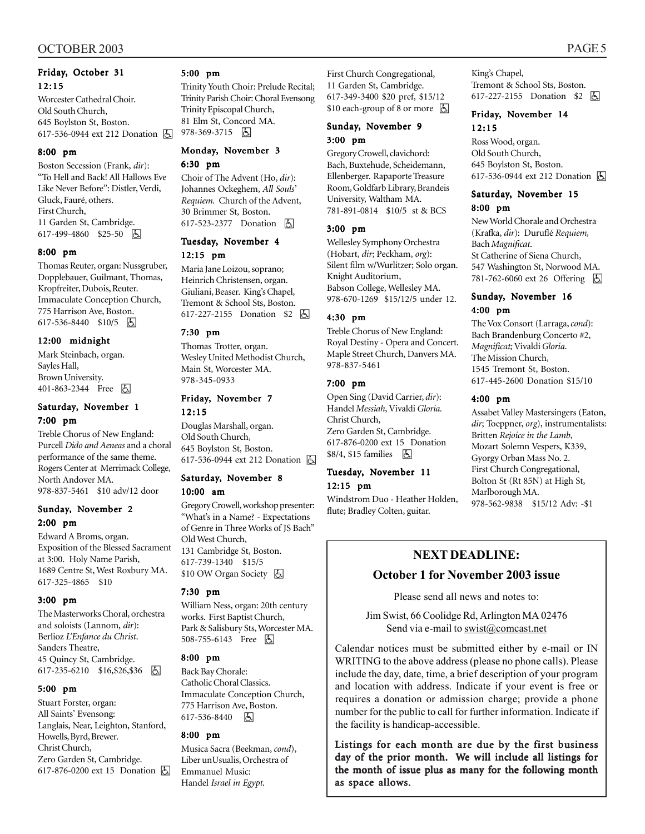#### Friday, October 31 12:15

Worcester Cathedral Choir. Old South Church, 645 Boylston St, Boston. 617-536-0944 ext 212 Donation 因

#### 8:00 pm

Boston Secession (Frank, *dir*): "To Hell and Back! All Hallows Eve Like Never Before": Distler, Verdi, Gluck, Fauré, others. First Church, 11 Garden St, Cambridge. 617-499-4860 \$25-50 因

#### 8:00 pm

Thomas Reuter, organ: Nussgruber, Dopplebauer, Guilmant, Thomas, Kropfreiter, Dubois, Reuter. Immaculate Conception Church, 775 Harrison Ave, Boston. 617-536-8440 \$10/5 因

#### 12:00 midnight

Mark Steinbach, organ. Sayles Hall, Brown University. 401-863-2344 Free 因

#### Saturday, November 1 7:00 pm

Treble Chorus of New England: Purcell *Dido and Aeneas* and a choral performance of the same theme. Rogers Center at Merrimack College, North Andover MA. 978-837-5461 \$10 adv/12 door

#### Sunday, November 2 2:00 pm

Edward A Broms, organ. Exposition of the Blessed Sacrament at 3:00. Holy Name Parish, 1689 Centre St, West Roxbury MA. 617-325-4865 \$10

#### 3:00 pm

The Masterworks Choral, orchestra and soloists (Lannom, *dir*): Berlioz *L'Enfance du Christ*. Sanders Theatre, 45 Quincy St, Cambridge. 617-235-6210 \$16, \$26, \$36  $\boxed{6}$ 

#### 5:00 pm

Stuart Forster, organ: All Saints' Evensong: Langlais, Near, Leighton, Stanford, Howells, Byrd, Brewer. Christ Church, Zero Garden St, Cambridge. 617-876-0200 ext 15 Donation  $\boxed{6}$ 

#### 5:00 pm

Trinity Youth Choir: Prelude Recital; Trinity Parish Choir: Choral Evensong Trinity Episcopal Church, 81 Elm St, Concord MA.

978-369-3715 6

#### Monday, November 3 6:30 pm

Choir of The Advent (Ho, *dir*): Johannes Ockeghem, *All Souls' Requiem.* Church of the Advent, 30 Brimmer St, Boston. 617-523-2377 Donation **b** 

#### Tuesday, November 4 12:15 pm

Maria Jane Loizou, soprano; Heinrich Christensen, organ. Giuliani, Beaser. King's Chapel, Tremont & School Sts, Boston. 617-227-2155 Donation \$2 因

#### 7:30 pm

Thomas Trotter, organ. Wesley United Methodist Church, Main St, Worcester MA. 978-345-0933

# Friday, November 7

12:15 Douglas Marshall, organ. Old South Church, 645 Boylston St, Boston. 617-536-0944 ext 212 Donation h

#### Saturday, November 8

#### 10:00 am

Gregory Crowell, workshop presenter: "What's in a Name? - Expectations of Genre in Three Works of JS Bach" Old West Church, 131 Cambridge St, Boston. 617-739-1340 \$15/5 \$10 OW Organ Society **6** 

#### 7:30 pm

William Ness, organ: 20th century works. First Baptist Church, Park & Salisbury Sts, Worcester MA. 508-755-6143 Free 因

#### 8:00 pm

Back Bay Chorale: Catholic Choral Classics. Immaculate Conception Church, 775 Harrison Ave, Boston. 617-536-8440 因

#### 8:00 pm

Musica Sacra (Beekman, *cond*), Liber unUsualis, Orchestra of Emmanuel Music: Handel *Israel in Egypt.*

First Church Congregational, 11 Garden St, Cambridge. 617-349-3400 \$20 pref, \$15/12  $$10$  each-group of 8 or more  $\Box$ 

#### Sunday, November 9 3:00 pm

Gregory Crowell, clavichord: Bach, Buxtehude, Scheidemann, Ellenberger. Rapaporte Treasure Room, Goldfarb Library, Brandeis University, Waltham MA. 781-891-0814 \$10/5 st & BCS

#### 3:00 pm

Wellesley Symphony Orchestra (Hobart, *dir*; Peckham, *org*): Silent film w/Wurlitzer; Solo organ. Knight Auditorium, Babson College, Wellesley MA. 978-670-1269 \$15/12/5 under 12.

#### 4:30 pm

Treble Chorus of New England: Royal Destiny - Opera and Concert. Maple Street Church, Danvers MA. 978-837-5461

#### 7:00 pm

Open Sing (David Carrier, *dir*): Handel *Messiah*, Vivaldi *Gloria.* Christ Church, Zero Garden St, Cambridge. 617-876-0200 ext 15 Donation \$8/4, \$15 families **b** 

# Tuesday, November 11

#### 12:15 pm

Windstrom Duo - Heather Holden, flute; Bradley Colten, guitar.

King's Chapel, Tremont & School Sts, Boston. 617-227-2155 Donation \$2 | A

#### Friday, November 14 12:15

Ross Wood, organ. Old South Church, 645 Boylston St, Boston. 617-536-0944 ext 212 Donation **b** 

# Saturday, November 15

8:00 pm

New World Chorale and Orchestra (Krafka, *dir*): Duruflé *Requiem,* Bach *Magnificat*. St Catherine of Siena Church, 547 Washington St, Norwood MA. 781-762-6060 ext 26 Offering 因

#### Sunday, November 16 4:00 pm

The Vox Consort (Larraga, *cond*): Bach Brandenburg Concerto #2, *Magnificat;* Vivaldi *Gloria*. The Mission Church, 1545 Tremont St, Boston. 617-445-2600 Donation \$15/10

#### 4:00 pm

Assabet Valley Mastersingers (Eaton, *dir*; Toeppner, *org*), instrumentalists: Britten *Rejoice in the Lamb*, Mozart Solemn Vespers, K339, Gyorgy Orban Mass No. 2. First Church Congregational, Bolton St (Rt 85N) at High St, Marlborough MA. 978-562-9838 \$15/12 Adv: -\$1

# **NEXT DEADLINE:**

#### **October 1 for November 2003 issue**

Please send all news and notes to:

Jim Swist, 66 Coolidge Rd, Arlington MA 02476 Send via e-mail to swist@comcast.net

Calendar notices must be submitted either by e-mail or IN WRITING to the above address (please no phone calls). Please include the day, date, time, a brief description of your program and location with address. Indicate if your event is free or requires a donation or admission charge; provide a phone number for the public to call for further information. Indicate if the facility is handicap-accessible.

Listings for each month are due by the first business day of the prior month. We will include all listings for the month of issue plus as many for the following month as space allows.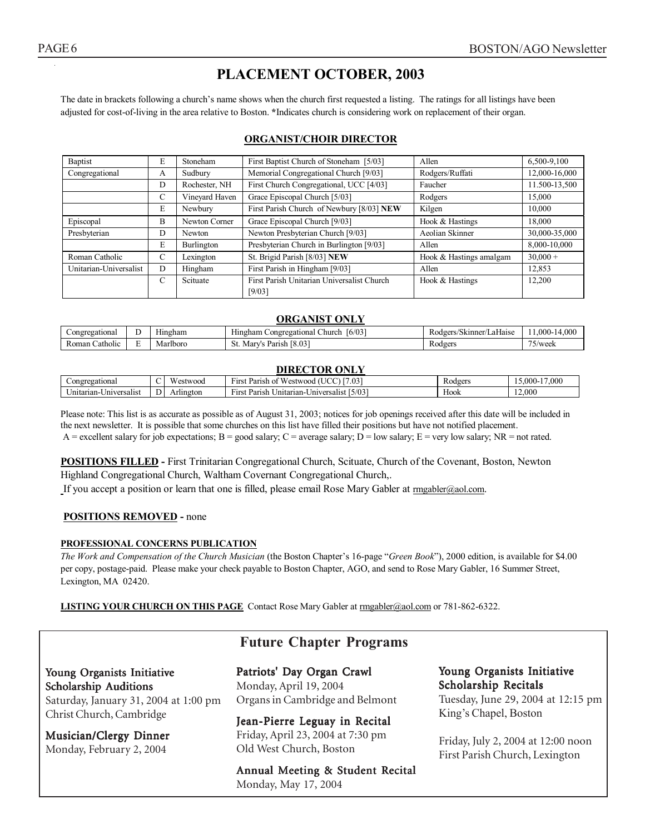# **PLACEMENT OCTOBER, 2003**

The date in brackets following a church's name shows when the church first requested a listing. The ratings for all listings have been adjusted for cost-of-living in the area relative to Boston. **\***Indicates church is considering work on replacement of their organ.

#### **ORGANIST/CHOIR DIRECTOR**

| Baptist                                | E                                                     | Stoneham       | First Baptist Church of Stoneham [5/03]    | Allen                   | 6,500-9,100   |
|----------------------------------------|-------------------------------------------------------|----------------|--------------------------------------------|-------------------------|---------------|
| Congregational                         | Memorial Congregational Church [9/03]<br>Sudbury<br>А |                | Rodgers/Ruffati                            | 12,000-16,000           |               |
|                                        | D                                                     | Rochester, NH  | First Church Congregational, UCC [4/03]    | Faucher                 | 11.500-13.500 |
|                                        | С                                                     | Vineyard Haven | Grace Episcopal Church [5/03]              | Rodgers                 | 15,000        |
|                                        | E                                                     | Newbury        | First Parish Church of Newbury [8/03] NEW  | Kilgen                  | 10,000        |
| Episcopal                              | B                                                     | Newton Corner  | Grace Episcopal Church [9/03]              | Hook & Hastings         | 18.000        |
| Presbyterian                           | D                                                     | <b>Newton</b>  | Newton Presbyterian Church [9/03]          | Aeolian Skinner         | 30,000-35,000 |
|                                        | E                                                     | Burlington     | Presbyterian Church in Burlington [9/03]   | Allen                   | 8,000-10,000  |
| Roman Catholic                         | C                                                     | Lexington      | St. Brigid Parish [8/03] NEW               | Hook & Hastings amalgam | $30,000+$     |
| Unitarian-Universalist<br>D<br>Hingham |                                                       |                | First Parish in Hingham [9/03]             | Allen                   | 12,853        |
|                                        | C                                                     | Scituate       | First Parish Unitarian Universalist Church | Hook & Hastings         | 12,200        |
|                                        |                                                       |                | [9/03]                                     |                         |               |

#### **ORGANIST ONLY**

| egational:<br>_ongre |        | --<br>Hıngham | $\sim$ $\sim$<br>6/03<br>Hingham<br>Congregati<br>Church<br>ona | $\sim$<br>kinner/<br>.410 <sup>pr</sup><br>'I aHaise<br>эк | 0.000<br>$.000 -$                            |
|----------------------|--------|---------------|-----------------------------------------------------------------|------------------------------------------------------------|----------------------------------------------|
| ∴atholic<br>Roman    | -<br>- | riboro<br>Mai | <b>COLLEGE</b><br>$\sim$<br>Mar<br>Parish<br>0.VJ<br>           | Rodgers                                                    | $- -$<br>$\vee$ week<br>$\sim$ $\sim$ $\sim$ |

#### **DIRECTOR ONLY**

| gationai<br>$_{\mathrm{congr'}}$<br>. . |    | <b>YY</b><br>'estwood         | $\overline{\phantom{a}}$<br>$\sqrt{7.03}$<br>Parish<br>stwood<br>ʻIFS.               | Rodgers            | $\sim$<br>.000<br>.000- |
|-----------------------------------------|----|-------------------------------|--------------------------------------------------------------------------------------|--------------------|-------------------------|
| Universalis<br>∪nıtarıan-               | ப⊦ | Arlington<br>$\Lambda$ $\sim$ | $\sim$<br>F(0, 2)<br>15/03<br>Parish<br><b>HIS.</b><br>Jnitarian-U<br>Universalist I | <b>Y</b> 3<br>Hook | 12,000                  |

Please note: This list is as accurate as possible as of August 31, 2003; notices for job openings received after this date will be included in the next newsletter. It is possible that some churches on this list have filled their positions but have not notified placement. A = excellent salary for job expectations; B = good salary; C = average salary; D = low salary; E = very low salary; NR = not rated.

**POSITIONS FILLED -** First Trinitarian Congregational Church, Scituate, Church of the Covenant, Boston, Newton Highland Congregational Church, Waltham Covernant Congregational Church,.

If you accept a position or learn that one is filled, please email Rose Mary Gabler at rmgabler@aol.com.

#### **POSITIONS REMOVED -** none

#### **PROFESSIONAL CONCERNS PUBLICATION**

*The Work and Compensation of the Church Musician* (the Boston Chapter's 16-page "*Green Book*"), 2000 edition, is available for \$4.00 per copy, postage-paid. Please make your check payable to Boston Chapter, AGO, and send to Rose Mary Gabler, 16 Summer Street, Lexington, MA 02420.

**LISTING YOUR CHURCH ON THIS PAGE** Contact Rose Mary Gabler at rmgabler@aol.com or 781-862-6322.

#### **Future Chapter Programs**

#### Young Organists Initiative Scholarship Auditions

Saturday, January 31, 2004 at 1:00 pm Christ Church, Cambridge

Musician/Clergy Dinner Monday, February 2, 2004

Patriots' Day Organ Crawl Monday, April 19, 2004 Organs in Cambridge and Belmont

Jean-Pierre Leguay in Recital Friday, April 23, 2004 at 7:30 pm Old West Church, Boston

Annual Meeting & Student Recital Monday, May 17, 2004

#### Young Organists Initiative Scholarship Recitals

Tuesday, June 29, 2004 at 12:15 pm King's Chapel, Boston

Friday, July 2, 2004 at 12:00 noon First Parish Church, Lexington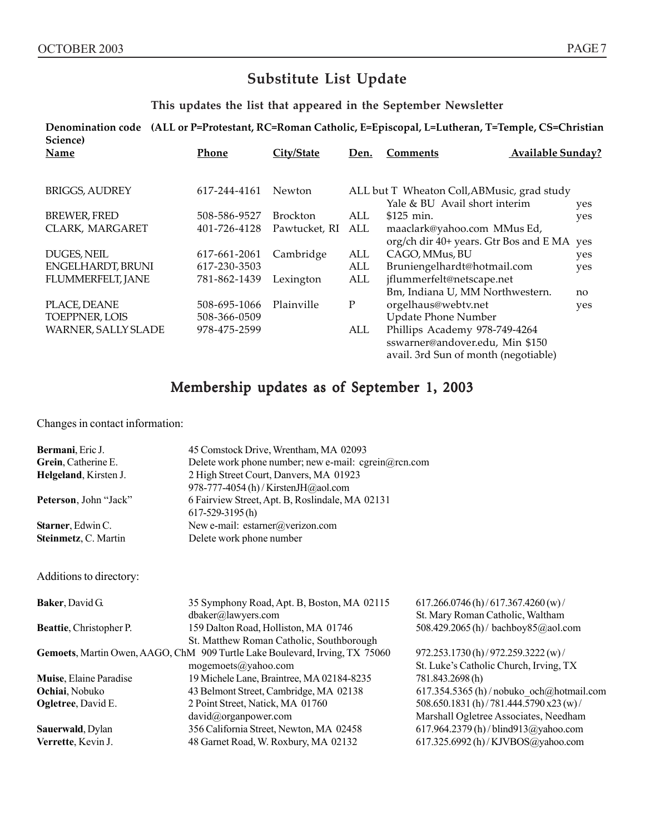# **Substitute List Update**

**This updates the list that appeared in the September Newsletter**

**Denomination code (ALL or P=Protestant, RC=Roman Catholic, E=Episcopal, L=Lutheran, T=Temple, CS=Christian Science)**

| Name                  | Phone        | City/State      | Den.        | <b>Available Sunday?</b><br><b>Comments</b>                                                              |            |
|-----------------------|--------------|-----------------|-------------|----------------------------------------------------------------------------------------------------------|------------|
| <b>BRIGGS, AUDREY</b> | 617-244-4161 | <b>Newton</b>   |             | ALL but T Wheaton Coll, ABMusic, grad study<br>Yale & BU Avail short interim                             |            |
| <b>BREWER, FRED</b>   | 508-586-9527 | <b>Brockton</b> | ALL         | $$125$ min.                                                                                              | yes<br>yes |
| CLARK, MARGARET       | 401-726-4128 | Pawtucket, RI   | ALL         | maaclark@yahoo.com MMus Ed,<br>org/ch dir 40+ years. Gtr Bos and E MA yes                                |            |
| DUGES, NEIL           | 617-661-2061 | Cambridge       | ALL         | CAGO, MMus, BU                                                                                           | yes        |
| ENGELHARDT, BRUNI     | 617-230-3503 |                 | ALL         | Bruniengelhardt@hotmail.com                                                                              | yes        |
| FLUMMERFELT, JANE     | 781-862-1439 | Lexington       | ALL         | jflummerfelt@netscape.net                                                                                |            |
|                       |              |                 |             | Bm, Indiana U, MM Northwestern.                                                                          | no         |
| PLACE, DEANE          | 508-695-1066 | Plainville      | $\mathbf P$ | orgelhaus@webtv.net                                                                                      | yes        |
| TOEPPNER, LOIS        | 508-366-0509 |                 |             | <b>Update Phone Number</b>                                                                               |            |
| WARNER, SALLY SLADE   | 978-475-2599 |                 | ALL         | Phillips Academy 978-749-4264<br>sswarner@andover.edu, Min \$150<br>avail. 3rd Sun of month (negotiable) |            |

# Membership updates as of September 1, 2003

Changes in contact information:

| Bermani, Eric J.                                                            | 45 Comstock Drive, Wrentham, MA 02093                                       |                                                                                          |  |  |
|-----------------------------------------------------------------------------|-----------------------------------------------------------------------------|------------------------------------------------------------------------------------------|--|--|
| Grein, Catherine E.<br>Delete work phone number; new e-mail: cgrein@rcn.com |                                                                             |                                                                                          |  |  |
| Helgeland, Kirsten J.                                                       | 2 High Street Court, Danvers, MA 01923                                      |                                                                                          |  |  |
|                                                                             | 978-777-4054 (h) / KirstenJH@aol.com                                        |                                                                                          |  |  |
| Peterson, John "Jack"                                                       | 6 Fairview Street, Apt. B, Roslindale, MA 02131                             |                                                                                          |  |  |
|                                                                             | $617 - 529 - 3195$ (h)                                                      |                                                                                          |  |  |
| Starner, Edwin C.                                                           | New e-mail: estarner@verizon.com                                            |                                                                                          |  |  |
| Steinmetz, C. Martin                                                        | Delete work phone number                                                    |                                                                                          |  |  |
|                                                                             |                                                                             |                                                                                          |  |  |
|                                                                             |                                                                             |                                                                                          |  |  |
| Additions to directory:                                                     |                                                                             |                                                                                          |  |  |
| <b>Baker, David G.</b>                                                      | 35 Symphony Road, Apt. B, Boston, MA 02115                                  | $617.266.0746$ (h) / 617.367.4260 (w) /                                                  |  |  |
|                                                                             | dbaker@lawyers.com                                                          | St. Mary Roman Catholic, Waltham                                                         |  |  |
| Beattie, Christopher P.                                                     | 159 Dalton Road, Holliston, MA 01746                                        | 508.429.2065 (h) / bachboy 85@ aol.com                                                   |  |  |
|                                                                             | St. Matthew Roman Catholic, Southborough                                    |                                                                                          |  |  |
|                                                                             | Gemoets, Martin Owen, AAGO, ChM 909 Turtle Lake Boulevard, Irving, TX 75060 | 972.253.1730 (h) / 972.259.3222 (w) /                                                    |  |  |
|                                                                             | mogemoets@yahoo.com                                                         | St. Luke's Catholic Church, Irving, TX                                                   |  |  |
| Muise, Elaine Paradise                                                      | 19 Michele Lane, Braintree, MA 02184-8235                                   | 781.843.2698(h)                                                                          |  |  |
| Ochiai, Nobuko                                                              | 43 Belmont Street, Cambridge, MA 02138                                      |                                                                                          |  |  |
|                                                                             |                                                                             | $617.354.5365$ (h) / nobuko_och@hotmail.com<br>508.650.1831 (h) / 781.444.5790 x23 (w) / |  |  |
| Ogletree, David E.                                                          | 2 Point Street, Natick, MA 01760                                            | Marshall Ogletree Associates, Needham                                                    |  |  |
|                                                                             | david@organpower.com                                                        |                                                                                          |  |  |
| Sauerwald, Dylan                                                            | 356 California Street, Newton, MA 02458                                     | 617.964.2379(h)/blind913@yahoo.com                                                       |  |  |
| Verrette, Kevin J.                                                          | 48 Garnet Road, W. Roxbury, MA 02132                                        | 617.325.6992 (h) / KJVBOS@yahoo.com                                                      |  |  |